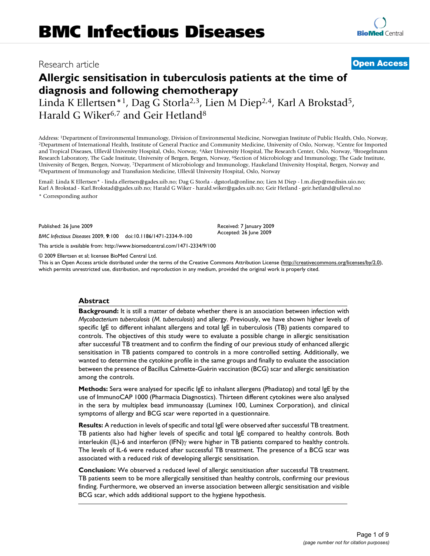# Research article **[Open Access](http://www.biomedcentral.com/info/about/charter/)**

# **Allergic sensitisation in tuberculosis patients at the time of diagnosis and following chemotherapy**

Linda K Ellertsen\*<sup>1</sup>, Dag G Storla<sup>2,3</sup>, Lien M Diep<sup>2,4</sup>, Karl A Brokstad<sup>5</sup>, Harald G Wiker<sup>6,7</sup> and Geir Hetland<sup>8</sup>

Address: 1Department of Environmental Immunology, Division of Environmental Medicine, Norwegian Institute of Public Health, Oslo, Norway, 2Department of International Health, Institute of General Practice and Community Medicine, University of Oslo, Norway, 3Centre for Imported and Tropical Diseases, Ullevål University Hospital, Oslo, Norway, 4Aker University Hospital, The Research Center, Oslo, Norway, 5Broegelmann Research Laboratory, The Gade Institute, University of Bergen, Bergen, Norway, <sup>6</sup>Section of Microbiology and Immunology, The Gade Institute, University of Bergen, Bergen, Norway, 7Department of Microbiology and Immunology, Haukeland University Hospital, Bergen, Norway and 8Department of Immunology and Transfusion Medicine, Ullevål University Hospital, Oslo, Nor

Email: Linda K Ellertsen\* - linda.ellertsen@gades.uib.no; Dag G Storla - dgstorla@online.no; Lien M Diep - l.m.diep@medisin.uio.no; Karl A Brokstad - Karl.Brokstad@gades.uib.no; Harald G Wiker - harald.wiker@gades.uib.no; Geir Hetland - geir.hetland@ulleval.no \* Corresponding author

Published: 26 June 2009

*BMC Infectious Diseases* 2009, **9**:100 doi:10.1186/1471-2334-9-100

[This article is available from: http://www.biomedcentral.com/1471-2334/9/100](http://www.biomedcentral.com/1471-2334/9/100)

© 2009 Ellertsen et al; licensee BioMed Central Ltd.

This is an Open Access article distributed under the terms of the Creative Commons Attribution License [\(http://creativecommons.org/licenses/by/2.0\)](http://creativecommons.org/licenses/by/2.0), which permits unrestricted use, distribution, and reproduction in any medium, provided the original work is properly cited.

Received: 7 January 2009 Accepted: 26 June 2009

#### **Abstract**

**Background:** It is still a matter of debate whether there is an association between infection with *Mycobacterium tuberculosis* (*M. tuberculosis*) and allergy. Previously, we have shown higher levels of specific IgE to different inhalant allergens and total IgE in tuberculosis (TB) patients compared to controls. The objectives of this study were to evaluate a possible change in allergic sensitisation after successful TB treatment and to confirm the finding of our previous study of enhanced allergic sensitisation in TB patients compared to controls in a more controlled setting. Additionally, we wanted to determine the cytokine profile in the same groups and finally to evaluate the association between the presence of Bacillus Calmette-Guérin vaccination (BCG) scar and allergic sensitisation among the controls.

**Methods:** Sera were analysed for specific IgE to inhalant allergens (Phadiatop) and total IgE by the use of ImmunoCAP 1000 (Pharmacia Diagnostics). Thirteen different cytokines were also analysed in the sera by multiplex bead immunoassay (Luminex 100, Luminex Corporation), and clinical symptoms of allergy and BCG scar were reported in a questionnaire.

**Results:** A reduction in levels of specific and total IgE were observed after successful TB treatment. TB patients also had higher levels of specific and total IgE compared to healthy controls. Both interleukin (IL)-6 and interferon (IFN)γ were higher in TB patients compared to healthy controls. The levels of IL-6 were reduced after successful TB treatment. The presence of a BCG scar was associated with a reduced risk of developing allergic sensitisation.

**Conclusion:** We observed a reduced level of allergic sensitisation after successful TB treatment. TB patients seem to be more allergically sensitised than healthy controls, confirming our previous finding. Furthermore, we observed an inverse association between allergic sensitisation and visible BCG scar, which adds additional support to the hygiene hypothesis.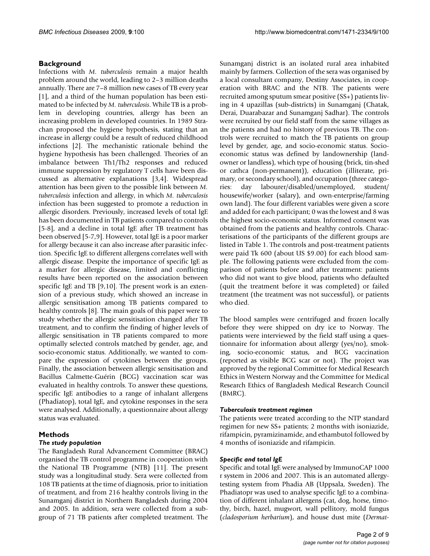# **Background**

Infections with *M. tuberculosis* remain a major health problem around the world, leading to 2–3 million deaths annually. There are 7–8 million new cases of TB every year [1], and a third of the human population has been estimated to be infected by *M. tuberculosis*. While TB is a problem in developing countries, allergy has been an increasing problem in developed countries. In 1989 Strachan proposed the hygiene hypothesis, stating that an increase in allergy could be a result of reduced childhood infections [2]. The mechanistic rationale behind the hygiene hypothesis has been challenged. Theories of an imbalance between Th1/Th2 responses and reduced immune suppression by regulatory T cells have been discussed as alternative explanations [3,4]. Widespread attention has been given to the possible link between *M. tuberculosis* infection and allergy, in which *M. tuberculosis* infection has been suggested to promote a reduction in allergic disorders. Previously, increased levels of total IgE has been documented in TB patients compared to controls [5-8], and a decline in total IgE after TB treatment has been observed [5-7,9]. However, total IgE is a poor marker for allergy because it can also increase after parasitic infection. Specific IgE to different allergens correlates well with allergic disease. Despite the importance of specific IgE as a marker for allergic disease, limited and conflicting results have been reported on the association between specific IgE and TB [9,10]. The present work is an extension of a previous study, which showed an increase in allergic sensitisation among TB patients compared to healthy controls [8]. The main goals of this paper were to study whether the allergic sensitisation changed after TB treatment, and to confirm the finding of higher levels of allergic sensitisation in TB patients compared to more optimally selected controls matched by gender, age, and socio-economic status. Additionally, we wanted to compare the expression of cytokines between the groups. Finally, the association between allergic sensitisation and Bacillus Calmette-Guérin (BCG) vaccination scar was evaluated in healthy controls. To answer these questions, specific IgE antibodies to a range of inhalant allergens (Phadiatop), total IgE, and cytokine responses in the sera were analysed. Additionally, a questionnaire about allergy status was evaluated.

# **Methods**

# *The study population*

The Bangladesh Rural Advancement Committee (BRAC) organised the TB control programme in cooperation with the National TB Programme (NTB) [11]. The present study was a longitudinal study. Sera were collected from 108 TB patients at the time of diagnosis, prior to initiation of treatment, and from 216 healthy controls living in the Sunamganj district in Northern Bangladesh during 2004 and 2005. In addition, sera were collected from a subgroup of 71 TB patients after completed treatment. The Sunamganj district is an isolated rural area inhabited mainly by farmers. Collection of the sera was organised by a local consultant company, Destiny Associates, in cooperation with BRAC and the NTB. The patients were recruited among sputum smear positive (SS+) patients living in 4 upazillas (sub-districts) in Sunamganj (Chatak, Derai, Duarabazar and Sunamganj Sadhar). The controls were recruited by our field staff from the same villages as the patients and had no history of previous TB. The controls were recruited to match the TB patients on group level by gender, age, and socio-economic status. Socioeconomic status was defined by landownership (landowner or landless), which type of housing (brick, tin-shed or cathca (non-permanent)), education (illiterate, primary, or secondary school), and occupation (three categories: day labourer/disabled/unemployed, student/ housewife/worker (salary), and own-enterprise/farming own land). The four different variables were given a score and added for each participant; 0 was the lowest and 8 was the highest socio-economic status. Informed consent was obtained from the patients and healthy controls. Characterisations of the participants of the different groups are listed in Table 1. The controls and post-treatment patients were paid Tk 600 (about US \$9.00) for each blood sample. The following patients were excluded from the comparison of patients before and after treatment: patients who did not want to give blood, patients who defaulted (quit the treatment before it was completed) or failed treatment (the treatment was not successful), or patients who died.

The blood samples were centrifuged and frozen locally before they were shipped on dry ice to Norway. The patients were interviewed by the field staff using a questionnaire for information about allergy (yes/no), smoking, socio-economic status, and BCG vaccination (reported as visible BCG scar or not). The project was approved by the regional Committee for Medical Research Ethics in Western Norway and the Committee for Medical Research Ethics of Bangladesh Medical Research Council (BMRC).

#### *Tuberculosis treatment regimen*

The patients were treated according to the NTP standard regimen for new SS+ patients; 2 months with isoniazide, rifampicin, pyramizinamide, and ethambutol followed by 4 months of isoniazide and rifampicin.

# *Specific and total IgE*

Specific and total IgE were analysed by ImmunoCAP 1000 r system in 2006 and 2007. This is an automated allergytesting system from Phadia AB (Uppsala, Sweden). The Phadiatopr was used to analyse specific IgE to a combination of different inhalant allergens (cat, dog, horse, timothy, birch, hazel, mugwort, wall pellitory, mold fungus (*cladosporium herbarium*), and house dust mite (*Dermat-*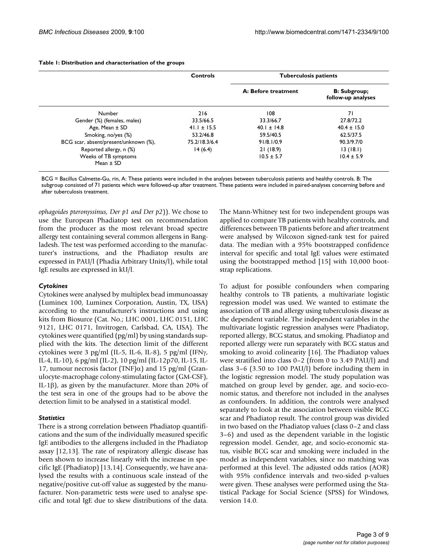|                                       | Controls        | <b>Tuberculosis patients</b> |                                           |
|---------------------------------------|-----------------|------------------------------|-------------------------------------------|
|                                       |                 | A: Before treatment          | <b>B:</b> Subgroup;<br>follow-up analyses |
| Number                                | 216             | 108                          | 71                                        |
| Gender (%) (females, males)           | 33.5/66.5       | 33.3/66.7                    | 27.8/72.2                                 |
| Age, Mean ± SD                        | $41.1 \pm 15.5$ | $40.1 \pm 14.8$              | $40.4 \pm 15.0$                           |
| Smoking, no/yes (%)                   | 53.2/46.8       | 59.5/40.5                    | 62.5/37.5                                 |
| BCG scar, absent/present/unknown (%), | 75.2/18.3/6.4   | 91/8.1/0.9                   | 90.3/9.7/0                                |
| Reported allergy, n (%)               | 14(6.4)         | 21(18.9)                     | 13(18.1)                                  |
| Weeks of TB symptoms<br>Mean $\pm$ SD |                 | $10.5 \pm 5.7$               | $10.4 \pm 5.9$                            |

#### **Table 1: Distribution and characterisation of the groups**

BCG = Bacillus Calmette-Gu, rin, A: These patients were included in the analyses between tuberculosis patients and healthy controls. B: The subgroup consisted of 71 patients which were followed-up after treatment. These patients were included in paired-analyses concerning before and after tuberculosis treatment.

*ophagoides pteronyssinus, Der p1 and Der p2*)). We chose to use the European Phadiatop test on recommendation from the producer as the most relevant broad spectre allergy test containing several common allergens in Bangladesh. The test was performed according to the manufacturer's instructions, and the Phadiatop results are expressed in PAU/l (Phadia Arbitrary Units/l), while total IgE results are expressed in kU/l.

#### *Cytokines*

Cytokines were analysed by multiplex bead immunoassay (Luminex 100, Luminex Corporation, Austin, TX, USA) according to the manufacturer's instructions and using kits from Biosurce (Cat. No.; LHC 0001, LHC 0151, LHC 9121, LHC 0171, Invitrogen, Carlsbad, CA, USA). The cytokines were quantified (pg/ml) by using standards supplied with the kits. The detection limit of the different cytokines were 3 pg/ml (IL-5, IL-6, IL-8), 5 pg/ml (IFNγ, IL-4, IL-10), 6 pg/ml (IL-2), 10 pg/ml (IL-12p70, IL-15, IL-17, tumour necrosis factor (TNF) $α$ ) and 15 pg/ml (Granulocyte-macrophage colony-stimulating factor (GM-CSF), IL-1β), as given by the manufacturer. More than 20% of the test sera in one of the groups had to be above the detection limit to be analysed in a statistical model.

#### *Statistics*

There is a strong correlation between Phadiatop quantifications and the sum of the individually measured specific IgE antibodies to the allergens included in the Phadiatop assay [12,13]. The rate of respiratory allergic disease has been shown to increase linearly with the increase in specific IgE (Phadiatop) [13,14]. Consequently, we have analysed the results with a continuous scale instead of the negative/positive cut-off value as suggested by the manufacturer. Non-parametric tests were used to analyse specific and total IgE due to skew distributions of the data.

The Mann-Whitney test for two independent groups was applied to compare TB patients with healthy controls, and differences between TB patients before and after treatment were analysed by Wilcoxon signed-rank test for paired data. The median with a 95% bootstrapped confidence interval for specific and total IgE values were estimated using the bootstrapped method [15] with 10,000 bootstrap replications.

To adjust for possible confounders when comparing healthy controls to TB patients, a multivariate logistic regression model was used. We wanted to estimate the association of TB and allergy using tuberculosis disease as the dependent variable. The independent variables in the multivariate logistic regression analyses were Phadiatop, reported allergy, BCG status, and smoking. Phadiatop and reported allergy were run separately with BCG status and smoking to avoid colinearity [16]. The Phadiatop values were stratified into class 0–2 (from 0 to 3.49 PAU/l) and class 3–6 (3.50 to 100 PAU/l) before including them in the logistic regression model. The study population was matched on group level by gender, age, and socio-economic status, and therefore not included in the analyses as confounders. In addition, the controls were analysed separately to look at the association between visible BCG scar and Phadiatop result. The control group was divided in two based on the Phadiatop values (class 0–2 and class 3–6) and used as the dependent variable in the logistic regression model. Gender, age, and socio-economic status, visible BCG scar and smoking were included in the model as independent variables, since no matching was performed at this level. The adjusted odds ratios (AOR) with 95% confidence intervals and two-sided p-values were given. These analyses were performed using the Statistical Package for Social Science (SPSS) for Windows, version 14.0.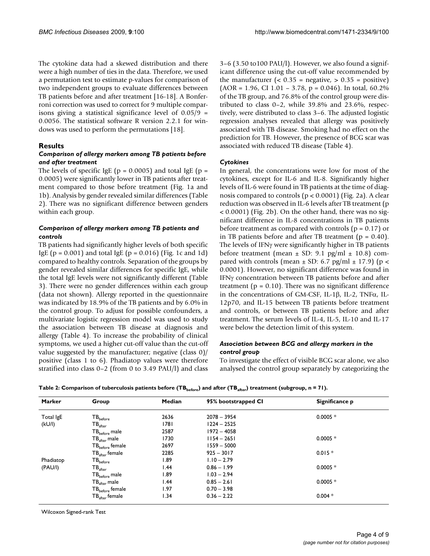The cytokine data had a skewed distribution and there were a high number of ties in the data. Therefore, we used a permutation test to estimate p-values for comparison of two independent groups to evaluate differences between TB patients before and after treatment [16-18]. A Bonferroni correction was used to correct for 9 multiple comparisons giving a statistical significance level of  $0.05/9$  = 0.0056. The statistical software R version 2.2.1 for windows was used to perform the permutations [18].

# **Results**

# *Comparison of allergy markers among TB patients before and after treatment*

The levels of specific IgE ( $p = 0.0005$ ) and total IgE ( $p =$ 0.0005) were significantly lower in TB patients after treatment compared to those before treatment (Fig. 1a and 1b). Analysis by gender revealed similar differences (Table 2). There was no significant difference between genders within each group.

# *Comparison of allergy markers among TB patients and controls*

TB patients had significantly higher levels of both specific IgE ( $p = 0.001$ ) and total IgE ( $p = 0.016$ ) (Fig. 1c and 1d) compared to healthy controls. Separation of the groups by gender revealed similar differences for specific IgE, while the total IgE levels were not significantly different (Table 3). There were no gender differences within each group (data not shown). Allergy reported in the questionnaire was indicated by 18.9% of the TB patients and by 6.0% in the control group. To adjust for possible confounders, a multivariate logistic regression model was used to study the association between TB disease at diagnosis and allergy (Table 4). To increase the probability of clinical symptoms, we used a higher cut-off value than the cut-off value suggested by the manufacturer; negative (class 0)/ positive (class 1 to 6). Phadiatop values were therefore stratified into class 0–2 (from 0 to 3.49 PAU/l) and class

3–6 (3.50 to100 PAU/l). However, we also found a significant difference using the cut-off value recommended by the manufacturer  $\left( < 0.35 \right)$  = negative,  $> 0.35$  = positive)  $(AOR = 1.96, CI\ 1.01 - 3.78, p = 0.046)$ . In total, 60.2% of the TB group, and 76.8% of the control group were distributed to class 0–2, while 39.8% and 23.6%, respectively, were distributed to class 3–6. The adjusted logistic regression analyses revealed that allergy was positively associated with TB disease. Smoking had no effect on the prediction for TB. However, the presence of BCG scar was associated with reduced TB disease (Table 4).

# *Cytokines*

In general, the concentrations were low for most of the cytokines, except for IL-6 and IL-8. Significantly higher levels of IL-6 were found in TB patients at the time of diagnosis compared to controls  $(p < 0.0001)$  (Fig. 2a). A clear reduction was observed in IL-6 levels after TB treatment (p < 0.0001) (Fig. 2b). On the other hand, there was no significant difference in IL-8 concentrations in TB patients before treatment as compared with controls ( $p = 0.17$ ) or in TB patients before and after TB treatment ( $p = 0.40$ ). The levels of IFNγ were significantly higher in TB patients before treatment (mean  $\pm$  SD: 9.1 pg/ml  $\pm$  10.8) compared with controls (mean  $\pm$  SD: 6.7 pg/ml  $\pm$  17.9) (p < 0.0001). However, no significant difference was found in IFNγ concentration between TB patients before and after treatment ( $p = 0.10$ ). There was no significant difference in the concentrations of GM-CSF, IL-1β, IL-2, TNFα, IL-12p70, and IL-15 between TB patients before treatment and controls, or between TB patients before and after treatment. The serum levels of IL-4, IL-5, IL-10 and IL-17 were below the detection limit of this system.

## *Association between BCG and allergy markers in the control group*

To investigate the effect of visible BCG scar alone, we also analysed the control group separately by categorizing the

| <b>Marker</b> | Group                                  | Median | 95% bootstrapped CI | Significance p |
|---------------|----------------------------------------|--------|---------------------|----------------|
| Total IgE     | $\mathsf{TB}_{\mathsf{before}}$        | 2636   | $2078 - 3954$       | $0.0005 *$     |
| (kU/l)        | $\mathsf{TB}_{\mathsf{after}}$         | 1781   | $1224 - 2525$       |                |
|               | $\mathsf{TB}_\mathsf{before}$ male     | 2587   | $1972 - 4058$       |                |
|               | $TB_{after}$ male                      | 1730   | $1154 - 2651$       | $0.0005 *$     |
|               | $\mathsf{TB}_{\mathsf{before}}$ female | 2697   | $1559 - 5000$       |                |
|               | $TB_{after}$ female                    | 2285   | $925 - 3017$        | $0.015*$       |
| Phadiatop     | $\mathsf{TB}_{\mathsf{before}}$        | l.89   | $1.10 - 2.79$       |                |
| (PAU/I)       | $\mathsf{TB}_{\mathsf{after}}$         | l.44   | $0.86 - 1.99$       | $0.0005 *$     |
|               | $\mathsf{TB}_\mathsf{before}$ male     | l.89   | $1.03 - 2.94$       |                |
|               | $TB_{after}$ male                      | l.44   | $0.85 - 2.61$       | $0.0005$ *     |
|               | $\mathsf{TB}_{\mathsf{before}}$ female | 1.97   | $0.70 - 3.98$       |                |
|               | $TB_{\rm after}$ female                | 1.34   | $0.36 - 2.22$       | $0.004*$       |

Table 2: Comparison of tuberculosis patients before (TB<sub>before</sub>) and after (TB<sub>after</sub>) treatment (subgroup, n = 71).

Wilcoxon Signed-rank Test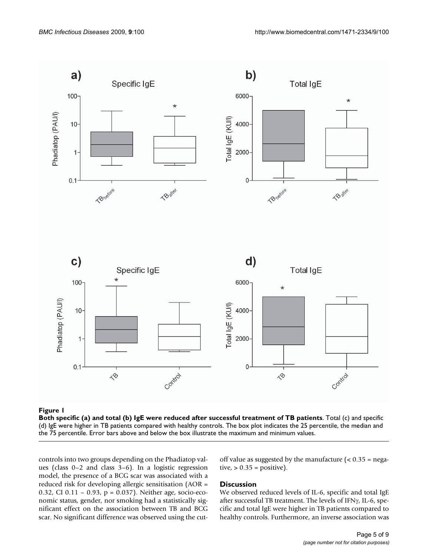

#### Both specific (a) and total (b) IgE were redu **Figure 1** ced after successful treatment of TB patients

**Both specific (a) and total (b) IgE were reduced after successful treatment of TB patients**. Total (c) and specific (d) IgE were higher in TB patients compared with healthy controls. The box plot indicates the 25 percentile, the median and the 75 percentile. Error bars above and below the box illustrate the maximum and minimum values.

controls into two groups depending on the Phadiatop values (class 0–2 and class 3–6). In a logistic regression model, the presence of a BCG scar was associated with a reduced risk for developing allergic sensitisation (AOR = 0.32, CI 0.11 – 0.93, p = 0.037). Neither age, socio-economic status, gender, nor smoking had a statistically significant effect on the association between TB and BCG scar. No significant difference was observed using the cutoff value as suggested by the manufacture  $\approx 0.35$  = negative,  $> 0.35$  = positive).

#### **Discussion**

We observed reduced levels of IL-6, specific and total IgE after successful TB treatment. The levels of IFNγ, IL-6, specific and total IgE were higher in TB patients compared to healthy controls. Furthermore, an inverse association was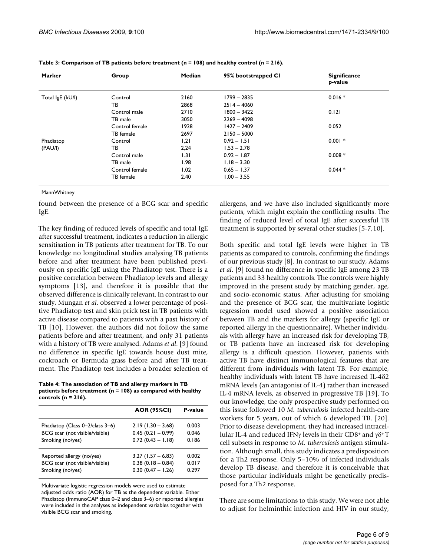| <b>Marker</b>    | Group          | Median | 95% bootstrapped CI | <b>Significance</b><br>p-value |
|------------------|----------------|--------|---------------------|--------------------------------|
| Total IgE (kU/I) | Control        | 2160   | $1799 - 2835$       | $0.016*$                       |
|                  | ТB             | 2868   | $2514 - 4060$       |                                |
|                  | Control male   | 2710   | $1800 - 3422$       | 0.121                          |
|                  | TB male        | 3050   | $2269 - 4098$       |                                |
|                  | Control female | 1928   | $1427 - 2409$       | 0.052                          |
|                  | TB female      | 2697   | $2150 - 5000$       |                                |
| Phadiatop        | Control        | 1,21   | $0.92 - 1.51$       | $0.001 *$                      |
| (PAU/I)          | ΤВ             | 2,24   | $1.53 - 2.78$       |                                |
|                  | Control male   | 1.31   | $0.92 - 1.87$       | $0.008 *$                      |
|                  | TB male        | 1.98   | $1.18 - 3.30$       |                                |
|                  | Control female | 1.02   | $0.65 - 1.37$       | $0.044*$                       |
|                  | TB female      | 2.40   | $1.00 - 3.55$       |                                |

**Table 3: Comparison of TB patients before treatment (n = 108) and healthy control (n = 216).**

**MannWhitney** 

found between the presence of a BCG scar and specific IgE.

The key finding of reduced levels of specific and total IgE after successful treatment, indicates a reduction in allergic sensitisation in TB patients after treatment for TB. To our knowledge no longitudinal studies analysing TB patients before and after treatment have been published previously on specific IgE using the Phadiatop test. There is a positive correlation between Phadiatop levels and allergy symptoms [13], and therefore it is possible that the observed difference is clinically relevant. In contrast to our study, Mungan *et al*. observed a lower percentage of positive Phadiatop test and skin prick test in TB patients with active disease compared to patients with a past history of TB [10]. However, the authors did not follow the same patients before and after treatment, and only 31 patients with a history of TB were analysed. Adams *et al*. [9] found no difference in specific IgE towards house dust mite, cockroach or Bermuda grass before and after TB treatment. The Phadiatop test includes a broader selection of

**Table 4: The association of TB and allergy markers in TB patients before treatment (n = 108) as compared with healthy controls (n = 216).**

|                                 | <b>AOR (95%CI)</b>  | P-value |
|---------------------------------|---------------------|---------|
| Phadiatop (Class 0-2/class 3-6) | $2.19(1.30 - 3.68)$ | 0.003   |
| BCG scar (not visible/visible)  | $0.45(0.21 - 0.99)$ | 0.046   |
| Smoking (no/yes)                | $0.72(0.43 - 1.18)$ | 0.186   |
| Reported allergy (no/yes)       | $3.27(1.57 - 6.83)$ | 0.002   |
| BCG scar (not visible/visible)  | $0.38(0.18 - 0.84)$ | 0.017   |
| Smoking (no/yes)                | $0.30(0.47 - 1.26)$ | 0.297   |

Multivariate logistic regression models were used to estimate adjusted odds ratio (AOR) for TB as the dependent variable. Either Phadiatop (ImmunoCAP class 0–2 and class 3–6) or reported allergies were included in the analyses as independent variables together with visible BCG scar and smoking.

allergens, and we have also included significantly more patients, which might explain the conflicting results. The finding of reduced level of total IgE after successful TB treatment is supported by several other studies [5-7,10].

Both specific and total IgE levels were higher in TB patients as compared to controls, confirming the findings of our previous study [8]. In contrast to our study, Adams *et al*. [9] found no difference in specific IgE among 23 TB patients and 33 healthy controls. The controls were highly improved in the present study by matching gender, age, and socio-economic status. After adjusting for smoking and the presence of BCG scar, the multivariate logistic regression model used showed a positive association between TB and the markers for allergy (specific IgE or reported allergy in the questionnaire). Whether individuals with allergy have an increased risk for developing TB, or TB patients have an increased risk for developing allergy is a difficult question. However, patients with active TB have distinct immunological features that are different from individuals with latent TB. For example, healthy individuals with latent TB have increased IL-4δ2 mRNA levels (an antagonist of IL-4) rather than increased IL-4 mRNA levels, as observed in progressive TB [19]. To our knowledge, the only prospective study performed on this issue followed 10 *M. tuberculosis* infected health-care workers for 5 years, out of which 6 developed TB. [20]. Prior to disease development, they had increased intracellular IL-4 and reduced IFNγ levels in their CD8+ and  $\gamma\delta^+$  T cell subsets in response to *M. tuberculosis* antigen stimulation. Although small, this study indicates a predisposition for a Th2 response. Only 5–10% of infected individuals develop TB disease, and therefore it is conceivable that those particular individuals might be genetically predisposed for a Th2 response.

There are some limitations to this study. We were not able to adjust for helminthic infection and HIV in our study,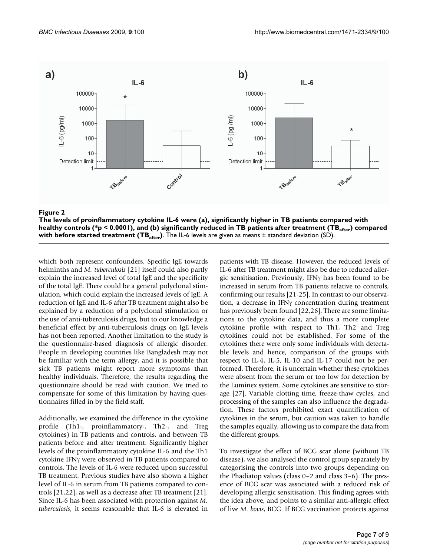

**Example 2** and the contract of the contract of the contract of the contract of the contract of the contract of the contract of the contract of the contract of the contract of the contract of the contract of the contract o **The levels of proinflammatory cytokine IL-6 were (a), significantly higher in TB patients compared with**  healthy controls (\*p < 0.0001), and (b) significantly reduced in TB patients after treatment (TB<sub>after</sub>) compared **with before started treatment (TB**<sub>after</sub>). The IL-6 levels are given as means ± standard deviation (SD).

which both represent confounders. Specific IgE towards helminths and *M. tuberculosis* [21] itself could also partly explain the increased level of total IgE and the specificity of the total IgE. There could be a general polyclonal stimulation, which could explain the increased levels of IgE. A reduction of IgE and IL-6 after TB treatment might also be explained by a reduction of a polyclonal stimulation or the use of anti-tuberculosis drugs, but to our knowledge a beneficial effect by anti-tuberculosis drugs on IgE levels has not been reported. Another limitation to the study is the questionnaire-based diagnosis of allergic disorder. People in developing countries like Bangladesh may not be familiar with the term allergy, and it is possible that sick TB patients might report more symptoms than healthy individuals. Therefore, the results regarding the questionnaire should be read with caution. We tried to compensate for some of this limitation by having questionnaires filled in by the field staff.

Additionally, we examined the difference in the cytokine profile (Th1-, proinflammatory-, Th2-, and Treg cytokines) in TB patients and controls, and between TB patients before and after treatment. Significantly higher levels of the proinflammatory cytokine IL-6 and the Th1 cytokine IFNγ were observed in TB patients compared to controls. The levels of IL-6 were reduced upon successful TB treatment. Previous studies have also shown a higher level of IL-6 in serum from TB patients compared to controls [21,22], as well as a decrease after TB treatment [21]. Since IL-6 has been associated with protection against *M. tuberculosis*, it seems reasonable that IL-6 is elevated in

patients with TB disease. However, the reduced levels of IL-6 after TB treatment might also be due to reduced allergic sensitisation. Previously, IFNγ has been found to be increased in serum from TB patients relative to controls, confirming our results [21-25]. In contrast to our observation, a decrease in IFNγ concentration during treatment has previously been found [22,26]. There are some limitations to the cytokine data, and thus a more complete cytokine profile with respect to Th1, Th2 and Treg cytokines could not be established. For some of the cytokines there were only some individuals with detectable levels and hence, comparison of the groups with respect to IL-4, IL-5, IL-10 and IL-17 could not be performed. Therefore, it is uncertain whether these cytokines were absent from the serum or too low for detection by the Luminex system. Some cytokines are sensitive to storage [27]. Variable clotting time, freeze-thaw cycles, and processing of the samples can also influence the degradation. These factors prohibited exact quantification of cytokines in the serum, but caution was taken to handle the samples equally, allowing us to compare the data from the different groups.

To investigate the effect of BCG scar alone (without TB disease), we also analysed the control group separately by categorising the controls into two groups depending on the Phadiatop values (class 0–2 and class 3–6). The presence of BCG scar was associated with a reduced risk of developing allergic sensitisation. This finding agrees with the idea above, and points to a similar anti-allergic effect of live *M. bovis*, BCG. If BCG vaccination protects against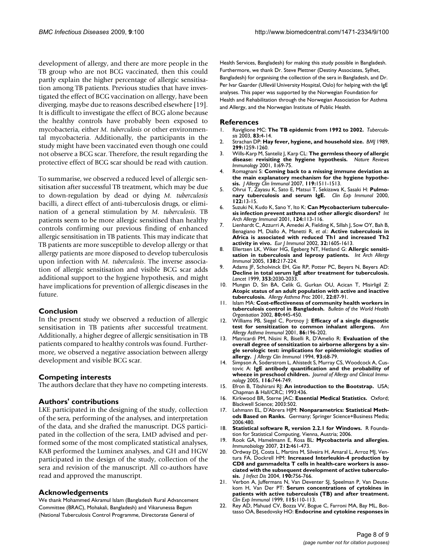development of allergy, and there are more people in the TB group who are not BCG vaccinated, then this could partly explain the higher percentage of allergic sensitisation among TB patients. Previous studies that have investigated the effect of BCG vaccination on allergy, have been diverging, maybe due to reasons described elsewhere [19]. It is difficult to investigate the effect of BCG alone because the healthy controls have probably been exposed to mycobacteria, either *M. tuberculosis* or other environmental mycobacteria. Additionally, the participants in the study might have been vaccinated even though one could not observe a BCG scar. Therefore, the result regarding the protective effect of BCG scar should be read with caution.

To summarise, we observed a reduced level of allergic sensitisation after successful TB treatment, which may be due to down-regulation by dead or dying *M. tuberculosis* bacilli, a direct effect of anti-tuberculosis drugs, or elimination of a general stimulation by *M. tuberculosis*. TB patients seem to be more allergic sensitised than healthy controls confirming our previous finding of enhanced allergic sensitisation in TB patients. This may indicate that TB patients are more susceptible to develop allergy or that allergy patients are more disposed to develop tuberculosis upon infection with *M. tuberculosis*. The inverse association of allergic sensitisation and visible BCG scar adds additional support to the hygiene hypothesis, and might have implications for prevention of allergic diseases in the future.

# **Conclusion**

In the present study we observed a reduction of allergic sensitisation in TB patients after successful treatment. Additionally, a higher degree of allergic sensitisation in TB patients compared to healthy controls was found. Furthermore, we observed a negative association between allergy development and visible BCG scar.

#### **Competing interests**

The authors declare that they have no competing interests.

## **Authors' contributions**

LKE participated in the designing of the study, collection of the sera, performing of the analyses, and interpretation of the data, and she drafted the manuscript. DGS participated in the collection of the sera, LMD advised and performed some of the most complicated statistical analyses, KAB performed the Luminex analyses, and GH and HGW participated in the design of the study, collection of the sera and revision of the manuscript. All co-authors have read and approved the manuscript.

# **Acknowledgements**

We thank Mohammed Akramul Islam (Bangladesh Rural Advancement Committee (BRAC), Mohakali, Bangladesh) and Vikarunessa Begum (National Tuberculosis Control Programme, Directorate General of

Health Services, Bangladesh) for making this study possible in Bangladesh. Furthermore, we thank Dr. Steve Plettner (Destiny Associates, Sylhet, Bangladesh) for organising the collection of the sera in Bangladesh, and Dr. Per Ivar Gaarder (Ullevål University Hospital, Oslo) for helping with the IgE analyses. This paper was supported by the Norwegian Foundation for Health and Rehabilitation through the Norwegian Association for Asthma and Allergy, and the Norwegian Institute of Public Health.

#### **References**

- 1. Raviglione MC: **[The TB epidemic from 1992 to 2002.](http://www.ncbi.nlm.nih.gov/entrez/query.fcgi?cmd=Retrieve&db=PubMed&dopt=Abstract&list_uids=12758183)** *Tuberculosis* 2003, **83:**4-14.
- 2. Strachan DP: **[Hay fever, hygiene, and household size.](http://www.ncbi.nlm.nih.gov/entrez/query.fcgi?cmd=Retrieve&db=PubMed&dopt=Abstract&list_uids=2513902)** *BMJ* 1989, **299:**1259-1260.
- 3. Wills-Karp M, Santeliz J, Karp CL: **[The germless theory of allergic](http://www.ncbi.nlm.nih.gov/entrez/query.fcgi?cmd=Retrieve&db=PubMed&dopt=Abstract&list_uids=11905816) [disease: revisiting the hygiene hypothesis.](http://www.ncbi.nlm.nih.gov/entrez/query.fcgi?cmd=Retrieve&db=PubMed&dopt=Abstract&list_uids=11905816)** *Nature Reviews Immunology* 2001, **1:**69-75.
- 4. Romagnani S: **[Coming back to a missing immune deviation as](http://www.ncbi.nlm.nih.gov/entrez/query.fcgi?cmd=Retrieve&db=PubMed&dopt=Abstract&list_uids=17556059) [the main explanatory mechanism for the hygiene hypothe](http://www.ncbi.nlm.nih.gov/entrez/query.fcgi?cmd=Retrieve&db=PubMed&dopt=Abstract&list_uids=17556059)[sis.](http://www.ncbi.nlm.nih.gov/entrez/query.fcgi?cmd=Retrieve&db=PubMed&dopt=Abstract&list_uids=17556059)** *J Allergy Clin Immunol* 2007, **119:**1511-1513.
- 5. Ohrui T, Zayasu K, Sato E, Matsui T, Sekizawa K, Sasaki H: **[Pulmo](http://www.ncbi.nlm.nih.gov/entrez/query.fcgi?cmd=Retrieve&db=PubMed&dopt=Abstract&list_uids=11012611)[nary tuberculosis and serum IgE.](http://www.ncbi.nlm.nih.gov/entrez/query.fcgi?cmd=Retrieve&db=PubMed&dopt=Abstract&list_uids=11012611)** *Clin Exp Immunol* 2000, **122:**13-15.
- 6. Suzuki N, Kudo K, Sano Y, Ito K: **[Can Mycobacterium tuberculo](http://www.ncbi.nlm.nih.gov/entrez/query.fcgi?cmd=Retrieve&db=PubMed&dopt=Abstract&list_uids=11306944)[sis infection prevent asthma and other allergic disorders?](http://www.ncbi.nlm.nih.gov/entrez/query.fcgi?cmd=Retrieve&db=PubMed&dopt=Abstract&list_uids=11306944)** *Int Arch Allergy Immunol* 2001, **124:**113-116.
- 7. Lienhardt C, Azzurri A, Amedei A, Fielding K, Sillah J, Sow OY, Bah B, Benagiano M, Diallo A, Manetti R, *et al.*: **[Active tuberculosis in](http://www.ncbi.nlm.nih.gov/entrez/query.fcgi?cmd=Retrieve&db=PubMed&dopt=Abstract&list_uids=12115643) [Africa is associated with reduced Th1 and increased Th2](http://www.ncbi.nlm.nih.gov/entrez/query.fcgi?cmd=Retrieve&db=PubMed&dopt=Abstract&list_uids=12115643) [activity in vivo.](http://www.ncbi.nlm.nih.gov/entrez/query.fcgi?cmd=Retrieve&db=PubMed&dopt=Abstract&list_uids=12115643)** *Eur J Immunol* 2002, **32:**1605-1613.
- 8. Ellertsen LK, Wiker HG, Egeberg NT, Hetland G: **[Allergic sensiti](http://www.ncbi.nlm.nih.gov/entrez/query.fcgi?cmd=Retrieve&db=PubMed&dopt=Abstract&list_uids=16210860)[sation in tuberculosis and leprosy patients.](http://www.ncbi.nlm.nih.gov/entrez/query.fcgi?cmd=Retrieve&db=PubMed&dopt=Abstract&list_uids=16210860)** *Int Arch Allergy Immunol* 2005, **138:**217-224.
- 9. Adams JF, Scholvinck EH, Gie RP, Potter PC, Beyers N, Beyers AD: **[Decline in total serum IgE after treatment for tuberculosis.](http://www.ncbi.nlm.nih.gov/entrez/query.fcgi?cmd=Retrieve&db=PubMed&dopt=Abstract&list_uids=10376618)** *Lancet* 1999, **353:**2030-2033.
- 10. Mungan D, Sin BA, Celik G, Gurkan OU, Acican T, Misirligil Z: **[Atopic status of an adult population with active and inactive](http://www.ncbi.nlm.nih.gov/entrez/query.fcgi?cmd=Retrieve&db=PubMed&dopt=Abstract&list_uids=11332297) [tuberculosis.](http://www.ncbi.nlm.nih.gov/entrez/query.fcgi?cmd=Retrieve&db=PubMed&dopt=Abstract&list_uids=11332297)** *Allergy Asthma Proc* 2001, **22:**87-91.
- 11. Islam MA: **Cost-effectiveness of community health workers in tuberculosis control in Bangladesh.** *Bulletin of the World Health Organisation* 2002, **80:**445-450.
- 12. Williams PB, Siegel C, Portnoy J: **[Efficacy of a single diagnostic](http://www.ncbi.nlm.nih.gov/entrez/query.fcgi?cmd=Retrieve&db=PubMed&dopt=Abstract&list_uids=11258690) test [for sensitization to common inhalant allergens.](http://www.ncbi.nlm.nih.gov/entrez/query.fcgi?cmd=Retrieve&db=PubMed&dopt=Abstract&list_uids=11258690)** *Ann Allergy Asthma Immunol* 2001, **86:**196-202.
- 13. Matricardi PM, Nisini R, Biselli R, D'Amelio R: **[Evaluation of the](http://www.ncbi.nlm.nih.gov/entrez/query.fcgi?cmd=Retrieve&db=PubMed&dopt=Abstract&list_uids=8308184) [overall degree of sensitization to airborne allergens by a sin](http://www.ncbi.nlm.nih.gov/entrez/query.fcgi?cmd=Retrieve&db=PubMed&dopt=Abstract&list_uids=8308184)gle serologic test: implications for epidemiologic studies of [allergy.](http://www.ncbi.nlm.nih.gov/entrez/query.fcgi?cmd=Retrieve&db=PubMed&dopt=Abstract&list_uids=8308184)** *J Allergy Clin Immunol* 1994, **93:**68-79.
- 14. Simpson A, Soderstrom L, Ahistedt S, Murray CS, Woodcock A, Custovic A: **IgE antibody quantification and the probability of wheeze in preschool children.** *Journal of Allergy and Clinical Immunology* 2005, **116:**744-749.
- 15. Efron B, Tibshirani RJ: **An introduction to the Bootstrap.** USA; Chapman & Hall/CRC; 1993:436.
- 16. Kirkwood BR, Sterne JAC: **Essential Medical Statistics.** Oxford; Blackwell Science; 2003:502.
- 17. Lehmann EL, D'Abrera HJM: **[Nonparametrics: Statistical Meth](http://www.ncbi.nlm.nih.gov/entrez/query.fcgi?cmd=Retrieve&db=PubMed&dopt=Abstract&list_uids=16739404)[ods Based on Ranks.](http://www.ncbi.nlm.nih.gov/entrez/query.fcgi?cmd=Retrieve&db=PubMed&dopt=Abstract&list_uids=16739404)** Germany; Springer Science+Business Media; 2006:480.
- 18. **Statistical software R, version 2.2.1 for Windows.** R Foundation for Statistical Computing, Vienna, Austria; 2006.
- 19. Rook GA, Hamelmann E, Rosa BL: **[Mycobacteria and allergies.](http://www.ncbi.nlm.nih.gov/entrez/query.fcgi?cmd=Retrieve&db=PubMed&dopt=Abstract&list_uids=17544831)** *Immunobiology* 2007, **212:**461-473.
- 20. Ordway DJ, Costa L, Martins M, Silveira H, Amaral L, Arroz MJ, Ventura FA, Dockrell HM: **[Increased Interleukin-4 production by](http://www.ncbi.nlm.nih.gov/entrez/query.fcgi?cmd=Retrieve&db=PubMed&dopt=Abstract&list_uids=15272404) [CD8 and gammadelta T cells in health-care workers is asso](http://www.ncbi.nlm.nih.gov/entrez/query.fcgi?cmd=Retrieve&db=PubMed&dopt=Abstract&list_uids=15272404)ciated with the subsequent development of active tuberculo[sis.](http://www.ncbi.nlm.nih.gov/entrez/query.fcgi?cmd=Retrieve&db=PubMed&dopt=Abstract&list_uids=15272404)** *J Infect Dis* 2004, **190:**756-766.
- 21. Verbon A, Juffermans N, Van Deventer SJ, Speelman P, Van Deutekom H, Van Der PT: **[Serum concentrations of cytokines in](http://www.ncbi.nlm.nih.gov/entrez/query.fcgi?cmd=Retrieve&db=PubMed&dopt=Abstract&list_uids=9933428) [patients with active tuberculosis \(TB\) and after treatment.](http://www.ncbi.nlm.nih.gov/entrez/query.fcgi?cmd=Retrieve&db=PubMed&dopt=Abstract&list_uids=9933428)** *Clin Exp Immunol* 1999, **115:**110-113.
- 22. Rey AD, Mahuad CV, Bozza VV, Bogue C, Farroni MA, Bay ML, Bottasso OA, Besedovsky HO: **[Endocrine and cytokine responses in](http://www.ncbi.nlm.nih.gov/entrez/query.fcgi?cmd=Retrieve&db=PubMed&dopt=Abstract&list_uids=16890403)**